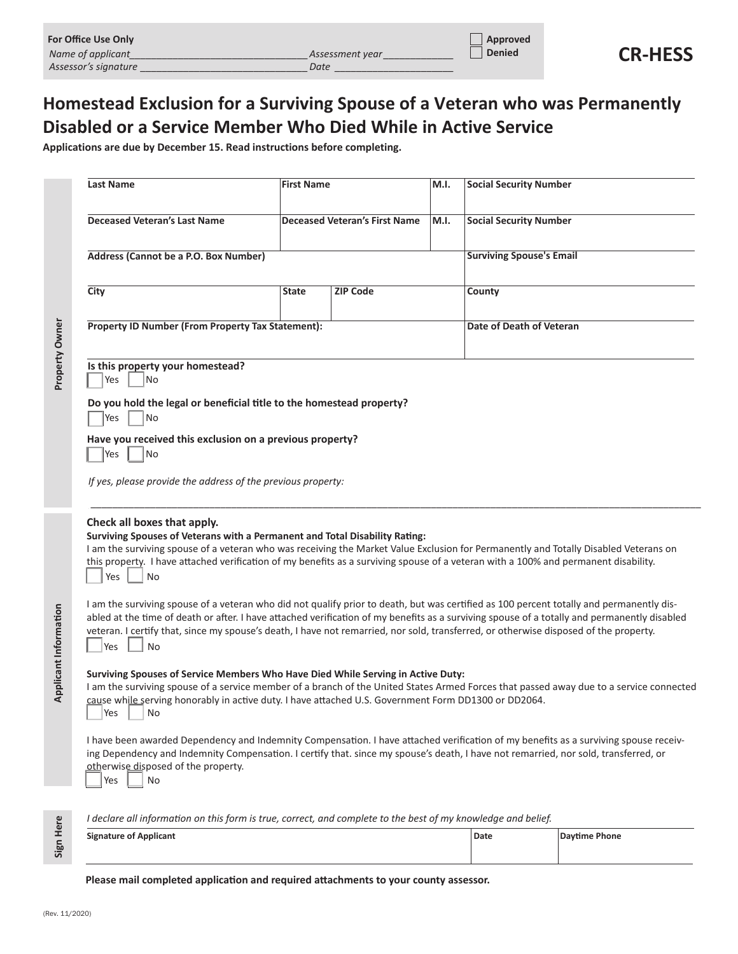| For Office Use Only  |                 | Approved      |                |
|----------------------|-----------------|---------------|----------------|
| Name of applicant    | Assessment year | <b>Denied</b> | <b>CR-HESS</b> |
| Assessor's signature | Date            |               |                |

## **Homestead Exclusion for a Surviving Spouse of a Veteran who was Permanently Disabled or a Service Member Who Died While in Active Service**

**Applications are due by December 15. Read instructions before completing.**

|                       | <b>Last Name</b>                                                                                                                                                                                                                                                                                                                                                                                                                                      | <b>First Name</b> |                                      | M.I. | <b>Social Security Number</b>   |  |  |
|-----------------------|-------------------------------------------------------------------------------------------------------------------------------------------------------------------------------------------------------------------------------------------------------------------------------------------------------------------------------------------------------------------------------------------------------------------------------------------------------|-------------------|--------------------------------------|------|---------------------------------|--|--|
|                       | <b>Deceased Veteran's Last Name</b>                                                                                                                                                                                                                                                                                                                                                                                                                   |                   | <b>Deceased Veteran's First Name</b> | M.I. | <b>Social Security Number</b>   |  |  |
|                       | Address (Cannot be a P.O. Box Number)                                                                                                                                                                                                                                                                                                                                                                                                                 |                   |                                      |      | <b>Surviving Spouse's Email</b> |  |  |
|                       | City                                                                                                                                                                                                                                                                                                                                                                                                                                                  | <b>State</b>      | <b>ZIP Code</b>                      |      | County                          |  |  |
| Property Owner        | <b>Property ID Number (From Property Tax Statement):</b>                                                                                                                                                                                                                                                                                                                                                                                              |                   |                                      |      | Date of Death of Veteran        |  |  |
|                       | Is this property your homestead?<br>Yes<br><b>No</b>                                                                                                                                                                                                                                                                                                                                                                                                  |                   |                                      |      |                                 |  |  |
|                       | Do you hold the legal or beneficial title to the homestead property?<br>Yes<br><b>No</b>                                                                                                                                                                                                                                                                                                                                                              |                   |                                      |      |                                 |  |  |
|                       | Have you received this exclusion on a previous property?<br>Yes<br>No                                                                                                                                                                                                                                                                                                                                                                                 |                   |                                      |      |                                 |  |  |
|                       | If yes, please provide the address of the previous property:                                                                                                                                                                                                                                                                                                                                                                                          |                   |                                      |      |                                 |  |  |
|                       | Check all boxes that apply.<br>Surviving Spouses of Veterans with a Permanent and Total Disability Rating:<br>I am the surviving spouse of a veteran who was receiving the Market Value Exclusion for Permanently and Totally Disabled Veterans on<br>this property. I have attached verification of my benefits as a surviving spouse of a veteran with a 100% and permanent disability.<br>Yes<br>No                                                |                   |                                      |      |                                 |  |  |
| Applicant Information | I am the surviving spouse of a veteran who did not qualify prior to death, but was certified as 100 percent totally and permanently dis-<br>abled at the time of death or after. I have attached verification of my benefits as a surviving spouse of a totally and permanently disabled<br>veteran. I certify that, since my spouse's death, I have not remarried, nor sold, transferred, or otherwise disposed of the property.<br><b>No</b><br>Yes |                   |                                      |      |                                 |  |  |
|                       | Surviving Spouses of Service Members Who Have Died While Serving in Active Duty:<br>I am the surviving spouse of a service member of a branch of the United States Armed Forces that passed away due to a service connected<br>cause while serving honorably in active duty. I have attached U.S. Government Form DD1300 or DD2064.<br>Yes<br>No                                                                                                      |                   |                                      |      |                                 |  |  |
|                       | I have been awarded Dependency and Indemnity Compensation. I have attached verification of my benefits as a surviving spouse receiv-<br>ing Dependency and Indemnity Compensation. I certify that. since my spouse's death, I have not remarried, nor sold, transferred, or<br>otherwise disposed of the property.<br>Yes<br>No                                                                                                                       |                   |                                      |      |                                 |  |  |
|                       | I declare all information on this form is true, correct, and complete to the best of my knowledge and belief.                                                                                                                                                                                                                                                                                                                                         |                   |                                      |      |                                 |  |  |

| Here           | aeciare all importancion on this joint is true, correct, and complete to the best of my knowledge and belief.<br><b>Signature of Applicant</b> | Date | Daytime Phone |  |  |  |  |
|----------------|------------------------------------------------------------------------------------------------------------------------------------------------|------|---------------|--|--|--|--|
| Sign           | Please mail completed application and required attachments to your county assessor.                                                            |      |               |  |  |  |  |
| (Rev. 11/2020) |                                                                                                                                                |      |               |  |  |  |  |